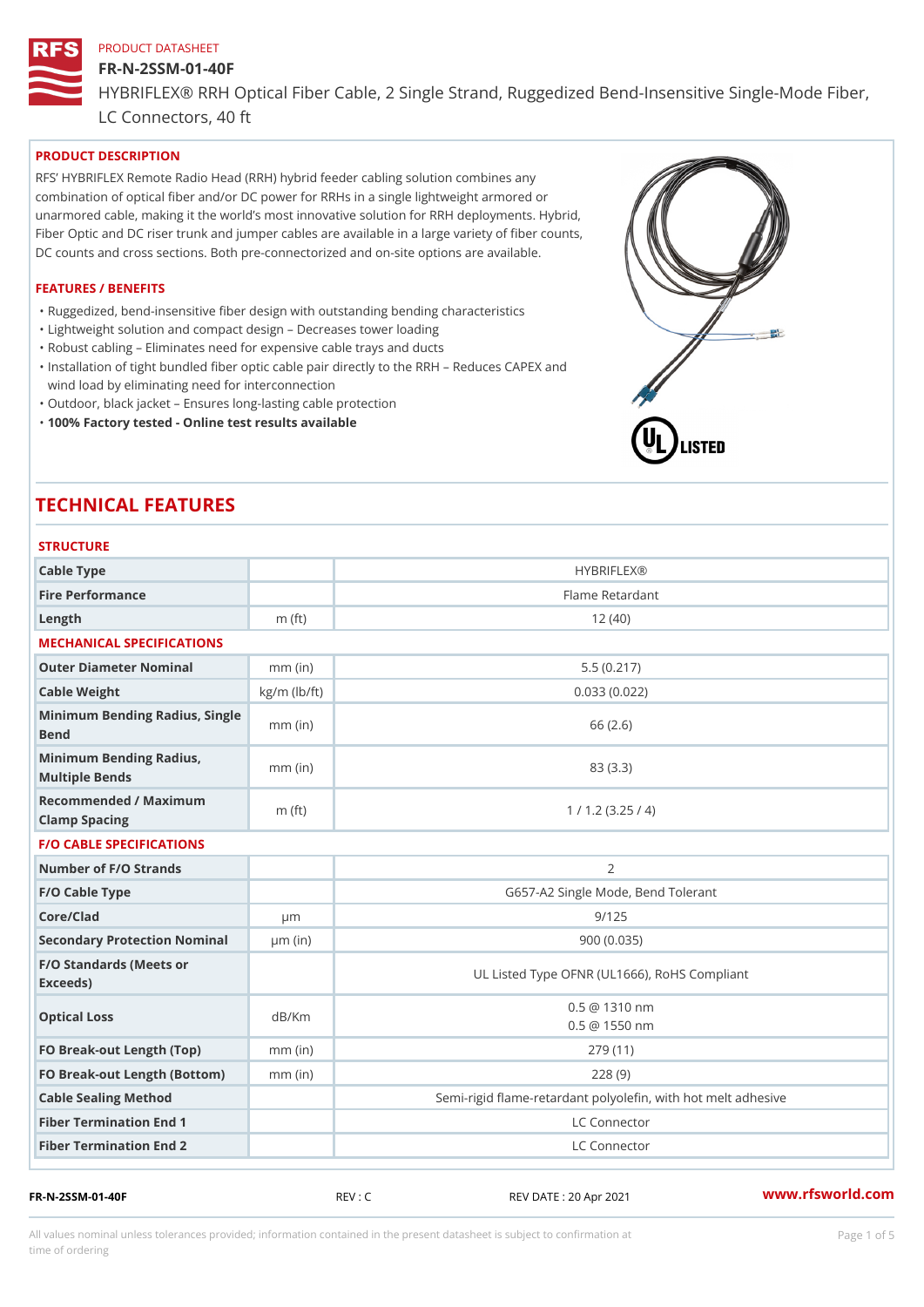#### FR-N-2SSM-01-40F

HYBRIFLEX® RRH Optical Fiber Cable, 2 Single Strand, Ruggedized Be

LC Connectors, 40 ft

# PRODUCT DESCRIPTION

RFS HYBRIFLEX Remote Radio Head (RRH) hybrid feeder cabling solution combines any combination of optical fiber and/or DC power for RRHs in a single lightweight armored or unarmored cable, making it the world s most innovative solution for RRH deployments. Hybrid, Fiber Optic and DC riser trunk and jumper cables are available in a large variety of fiber counts, DC counts and cross sections. Both pre-connectorized and on-site options are available.

#### FEATURES / BENEFITS

"Ruggedized, bend-insensitive fiber design with outstanding bending characteristics

- "Lightweight solution and compact design Decreases tower loading
- "Robust cabling Eliminates need for expensive cable trays and ducts
- "Installation of tight bundled fiber optic cable pair directly to the RRH Aeduces CAPEX and wind load by eliminating need for interconnection
- "Outdoor, black jacket Ensures long-lasting cable protection
- "100% Factory tested Online test results available

# TECHNICAL FEATURES

| <b>STRUCTURE</b>                                  |                    |                                                          |
|---------------------------------------------------|--------------------|----------------------------------------------------------|
| Cable Type                                        |                    | <b>HYBRIFLEX®</b>                                        |
| Fire Performance                                  |                    | Flame Retardant                                          |
| $L$ ength                                         | $m$ (ft)           | 12(40)                                                   |
| MECHANICAL SPECIFICATIONS                         |                    |                                                          |
| Outer Diameter Nominal                            | $mm$ (in)          | 5.5(0.217)                                               |
| Cable Weight                                      | $kg/m$ ( $lb/ft$ ) | 0.033(0.022)                                             |
| Minimum Bending Radius, Single<br>Bend            | mm (in             | 66 (2.6)                                                 |
| Minimum Bending Radius, mm (in)<br>Multiple Bends |                    | 83 (3.3)                                                 |
| Recommended / Maximum<br>Clamp Spacing            | $m$ (ft)           | 1 / 1.2 (3.25 / 4)                                       |
| <b>F/O CABLE SPECIFICATIONS</b>                   |                    |                                                          |
| Number of F/O Strands                             |                    | 2                                                        |
| F/O Cable Type                                    |                    | G657-A2 Single Mode, Bend Tolerant                       |
| Core/Clad                                         | $\mu$ m            | 9/125                                                    |
| Secondary Protection Nomimal(in)                  |                    | 900(0.035)                                               |
| F/O Standards (Meets or<br>Exceeds)               |                    | UL Listed Type OFNR (UL1666), RoHS Compliant             |
| Optical Loss                                      | dB/Km              | $0.5 \t@ 1310 nm$<br>$0.5 \t@ 1550 nm$                   |
| FO Break-out Length (Top)mm (in)                  |                    | 279 (11)                                                 |
| FO Break-out Length (Bottomm) (in)                |                    | 228(9)                                                   |
| Cable Sealing Method                              |                    | Semi-rigid flame-retardant polyolefin, with hot melt adl |
| Fiber Termination End                             |                    | LC Connector                                             |
| Fiber Termination End 2                           |                    | LC Connector                                             |

FR-N-2SSM-01-40F REV : C REV DATE : 20 Apr 2021 [www.](https://www.rfsworld.com)rfsworld.com

All values nominal unless tolerances provided; information contained in the present datasheet is subject to Pcapgeight Stid time of ordering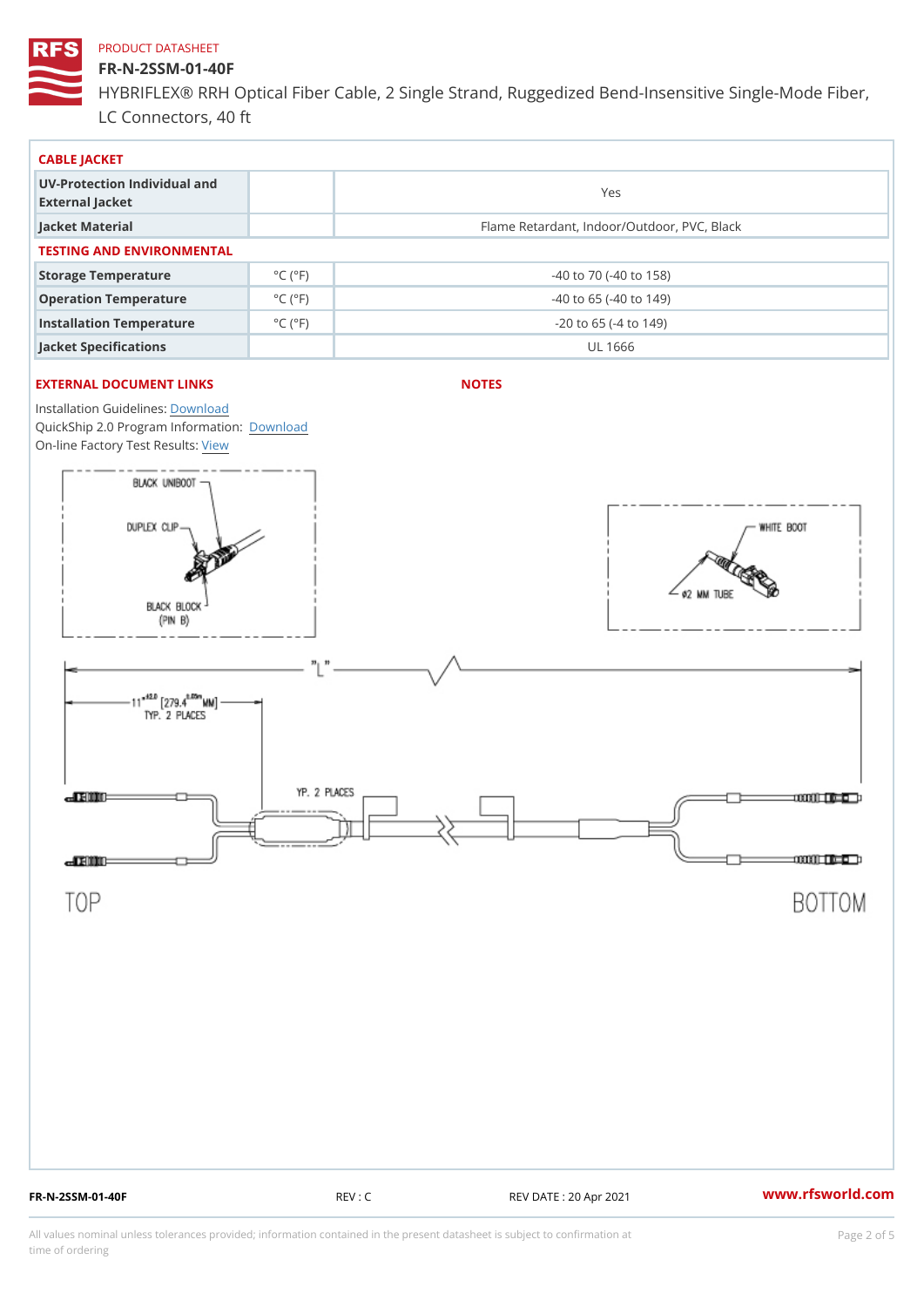### FR-N-2SSM-01-40F

HYBRIFLEX® RRH Optical Fiber Cable, 2 Single Strand, Ruggedized Be LC Connectors, 40 ft

| CABLE JACKET                                    |                             |                                             |  |  |  |  |
|-------------------------------------------------|-----------------------------|---------------------------------------------|--|--|--|--|
| UV-Protection Individual and<br>External Jacket |                             | Yes                                         |  |  |  |  |
| Jacket Material                                 |                             | Flame Retardant, Indoor/Outdoor, PVC, Black |  |  |  |  |
| TESTING AND ENVIRONMENTAL                       |                             |                                             |  |  |  |  |
| Storage Temperature                             | $^{\circ}$ C ( $^{\circ}$ F | $-40$ to $70$ ( $-40$ to $158$ )            |  |  |  |  |
| Operation Temperature                           | $^{\circ}$ C ( $^{\circ}$ F | $-40$ to 65 ( $-40$ to 149)                 |  |  |  |  |
| Installation Temperature                        | $^{\circ}$ C ( $^{\circ}$ F | $-20$ to 65 ( $-4$ to 149)                  |  |  |  |  |
| Jacket Specifications                           |                             | UL 1666                                     |  |  |  |  |

# EXTERNAL DOCUMENT LINKS

NOTES

Installation Guidelwinessad QuickShip 2.0 Program [Informa](http://www.rfsworld.com/images/hybriflex/quickship_program_2.pdf)tion: On-line Factory Te[s](https://www.rfsworld.com/pictures/userfiles/programs/AAST Latest Version.zip)teResults:

FR-N-2SSM-01-40F REV : C REV DATE : 20 Apr 2021 [www.](https://www.rfsworld.com)rfsworld.com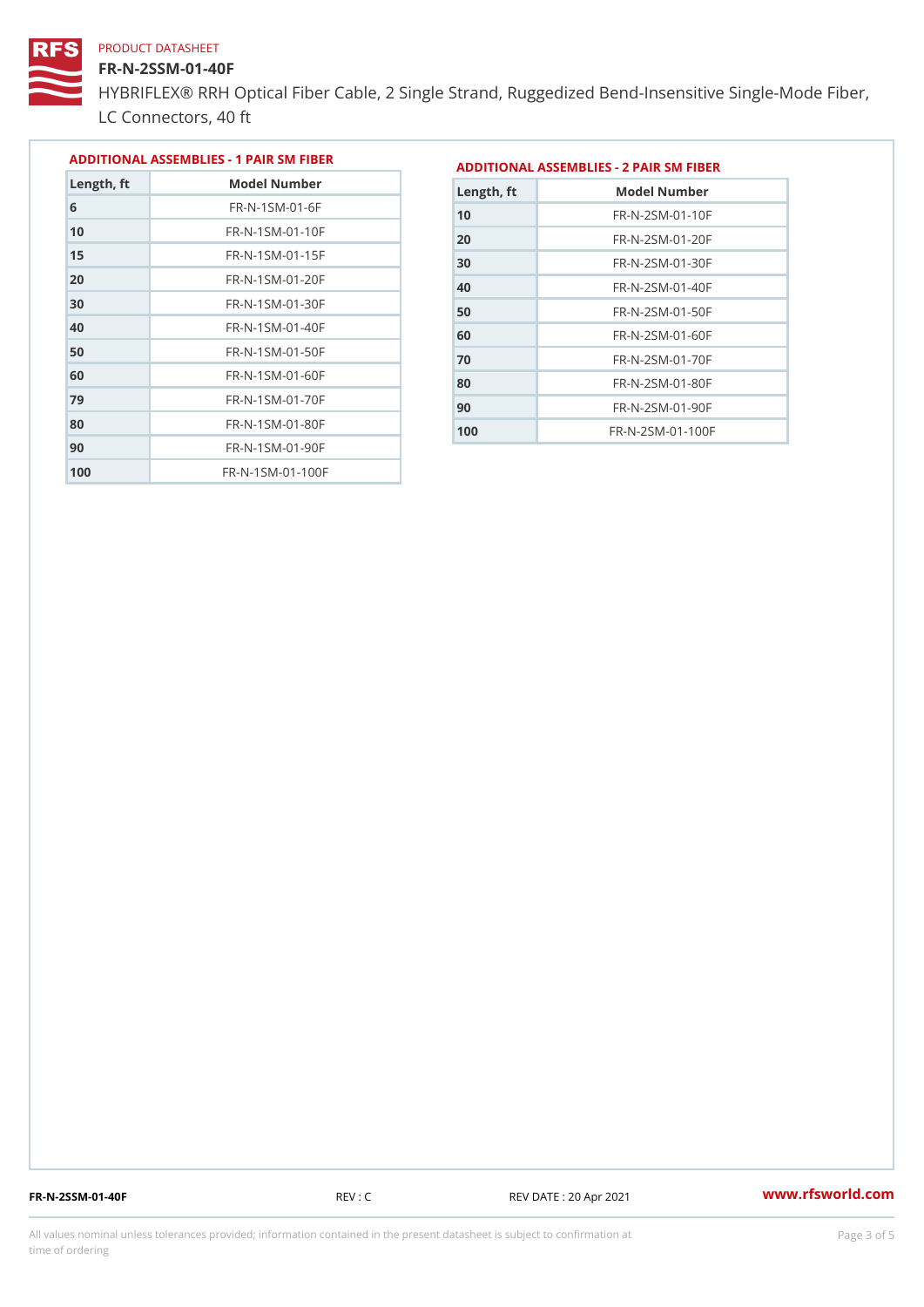#### FR-N-2SSM-01-40F

HYBRIFLEX® RRH Optical Fiber Cable, 2 Single Strand, Ruggedized Be LC Connectors, 40 ft

|            |                             |            | ADDITIONAL ASSEMBLIES - 1 PAIR SM FIBERDDITIONAL ASSEMBLIES - 2 PAIR SM FIBER |  |
|------------|-----------------------------|------------|-------------------------------------------------------------------------------|--|
| Length, ft | Model Number                | Length, ft | Model Number                                                                  |  |
|            | $FR - N - 1$ S M - 01 - 6 F |            | $FR - N - 2 SM - 01 - 10 F$                                                   |  |

| FR-N-1SM-01-6F               |
|------------------------------|
| FR-N-1SM-01-10F              |
| $FR - N - 1$ S M - 01 - 15 F |
| $FR - N - 1$ S M - 01 - 20 F |
| FR-N-1SM-01-30F              |
| FR-N-1SM-01-40F              |
| $FR - N - 1$ S M - 01 - 50 F |
| FR-N-1SM-01-60F              |
| $FR - N - 1$ S M - 01 - 70 F |
| $FR - N - 1$ S M - 01 - 80 F |
| FR-N-1SM-01-90F              |
| FR-N-1SM-01-100F             |
|                              |

| Length, ft | Model Number                |
|------------|-----------------------------|
| 10         | FR-N-2SM-01-10F             |
| 20         | FR-N-2SM-01-20F             |
| 30         | FR-N-2SM-01-30F             |
| 40         | FR-N-2SM-01-40F             |
| 50         | FR-N-2SM-01-50F             |
| 60         | FR-N-2 SM-01-60F            |
| 70         | $FR - N - 2 SM - 01 - 70 F$ |
| 80         | FR-N-2 SM-01-80F            |
| 90         | FR-N-2SM-01-90F             |
| 100        | FR-N-2SM-01-100F            |

FR-N-2SSM-01-40F REV : C REV DATE : 20 Apr 2021 [www.](https://www.rfsworld.com)rfsworld.com

All values nominal unless tolerances provided; information contained in the present datasheet is subject to Pcapgeling that i time of ordering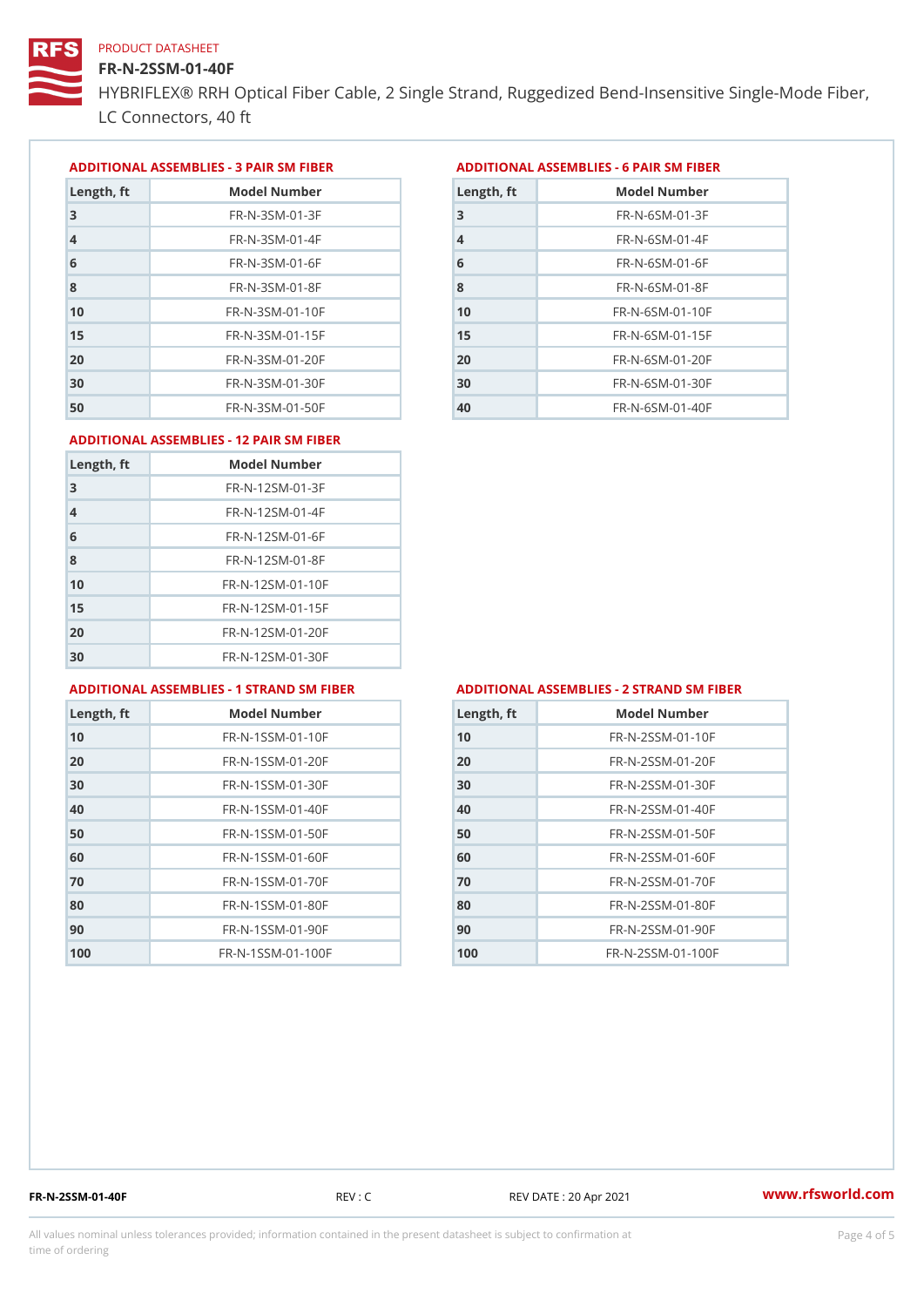# FR-N-2SSM-01-40F

HYBRIFLEX® RRH Optical Fiber Cable, 2 Single Strand, Ruggedized Be LC Connectors, 40 ft

ADDITIONAL ASSEMBLIES - 3 PAIR SM FIBERED DITIONAL ASSEMBLIES - 6 PAIR SM FIBER

| Length, ft     | Model Number                 |
|----------------|------------------------------|
| 3              | $FR - N - 3 S M - 01 - 3 F$  |
| $\overline{4}$ | $FR - N - 3 S M - 01 - 4 F$  |
| 6              | $FR - N - 3 S M - 01 - 6 F$  |
| 8              | FR-N-3SM-01-8F               |
| 10             | $FR - N - 3 S M - 01 - 10 F$ |
| 15             | $FR - N - 3 S M - 01 - 15 F$ |
| 20             | $FR - N - 3 S M - 01 - 20 F$ |
| 30             | $FR - N - 3 S M - 01 - 30 F$ |
| 50             | $FR - N - 3 S M - 01 - 50 F$ |

| Model Number<br>Length, ft   |
|------------------------------|
| $FR - N - 6 S M - 01 - 3 F$  |
| $FR - N - 6$ S M - 01 - 4 F  |
| $FR - N - 6 S M - 01 - 6 F$  |
| $FR - N - 6$ S M - 01 - 8 F  |
| $FR - N - 6 SM - 01 - 10 F$  |
| $FR - N - 6 SM - 01 - 15 F$  |
| $FR - N - 6 SM - 01 - 20 F$  |
| $FR - N - 6 SM - 01 - 30 F$  |
| $FR - N - 6 S M - 01 - 40 F$ |
|                              |

#### ADDITIONAL ASSEMBLIES - 12 PAIR SM FIBER

| Length, ft     | Model Number                 |
|----------------|------------------------------|
| 3              | $FR - N - 12SM - 01 - 3F$    |
| $\overline{4}$ | $FR - N - 12SM - 01 - 4F$    |
| 6              | $FR - N - 12$ S M - 01 - 6 F |
| 8              | $FR - N - 12$ S M - 01 - 8 F |
| 10             | FR-N-12SM-01-10F             |
| 15             | FR-N-12SM-01-15F             |
| 20             | FR-N-12SM-01-20F             |
| 30             | FR-N-12SM-01-30F             |

#### ADDITIONAL ASSEMBLIES - 1 STRAND SM FABSDRTIONAL ASSEMBLIES - 2 STRAND SM FIBER

| Length, ft | Model Number                    |
|------------|---------------------------------|
| 10         | $FR - N - 1$ S S M - 01 - 10 F  |
| 20         | $FR - N - 1$ S S M - 01 - 20 F  |
| 30         | FR-N-1SSM-01-30F                |
| 40         | FR-N-1SSM-01-40F                |
| 50         | FR-N-1SSM-01-50F                |
| 60         | FR-N-1SSM-01-60F                |
| 70         | FR-N-1SSM-01-70F                |
| 80         | FR-N-1SSM-01-80F                |
| 90         | FR-N-1SSM-01-90F                |
| 100        | $FR - N - 1$ S S M - 01 - 100 F |

| Length, ft | Model Number                   |
|------------|--------------------------------|
| 10         | FR-N-2SSM-01-10F               |
| 20         | FR-N-2SSM-01-20F               |
| 30         | $FR - N - 2 S S M - 01 - 30 F$ |
| 40         | FR-N-2SSM-01-40F               |
| 50         | $FR - N - 2 S S M - 01 - 50 F$ |
| 60         | FR-N-2SSM-01-60F               |
| 70         | FR-N-2SSM-01-70F               |
| 80         | FR-N-2SSM-01-80F               |
| 90         | FR-N-2SSM-01-90F               |
| 100        | FR-N-2SSM-01-100F              |

FR-N-2SSM-01-40F REV : C REV DATE : 20 Apr 2021 [www.](https://www.rfsworld.com)rfsworld.com

All values nominal unless tolerances provided; information contained in the present datasheet is subject to Pcapgnéig4m ssti time of ordering